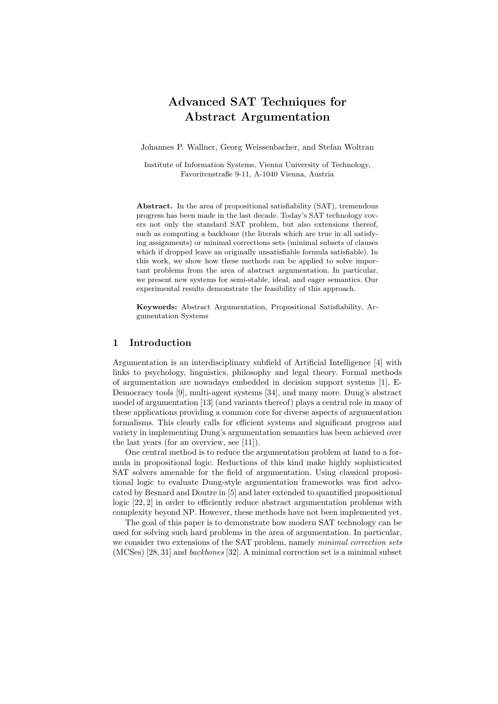# Advanced SAT Techniques for Abstract Argumentation

Johannes P. Wallner, Georg Weissenbacher, and Stefan Woltran

Institute of Information Systems, Vienna University of Technology, Favoritenstraße 9-11, A-1040 Vienna, Austria

Abstract. In the area of propositional satisfiability (SAT), tremendous progress has been made in the last decade. Today's SAT technology covers not only the standard SAT problem, but also extensions thereof, such as computing a backbone (the literals which are true in all satisfying assignments) or minimal corrections sets (minimal subsets of clauses which if dropped leave an originally unsatisfiable formula satisfiable). In this work, we show how these methods can be applied to solve important problems from the area of abstract argumentation. In particular, we present new systems for semi-stable, ideal, and eager semantics. Our experimental results demonstrate the feasibility of this approach.

Keywords: Abstract Argumentation, Propositional Satisfiability, Argumentation Systems

# 1 Introduction

Argumentation is an interdisciplinary subfield of Artificial Intelligence [4] with links to psychology, linguistics, philosophy and legal theory. Formal methods of argumentation are nowadays embedded in decision support systems [1], E-Democracy tools [9], multi-agent systems [34], and many more. Dung's abstract model of argumentation [13] (and variants thereof) plays a central role in many of these applications providing a common core for diverse aspects of argumentation formalisms. This clearly calls for efficient systems and significant progress and variety in implementing Dung's argumentation semantics has been achieved over the last years (for an overview, see [11]).

One central method is to reduce the argumentation problem at hand to a formula in propositional logic. Reductions of this kind make highly sophisticated SAT solvers amenable for the field of argumentation. Using classical propositional logic to evaluate Dung-style argumentation frameworks was first advocated by Besnard and Doutre in [5] and later extended to quantified propositional logic [22, 2] in order to efficiently reduce abstract argumentation problems with complexity beyond NP. However, these methods have not been implemented yet.

The goal of this paper is to demonstrate how modern SAT technology can be used for solving such hard problems in the area of argumentation. In particular, we consider two extensions of the SAT problem, namely *minimal correction sets* (MCSes) [28, 31] and backbones [32]. A minimal correction set is a minimal subset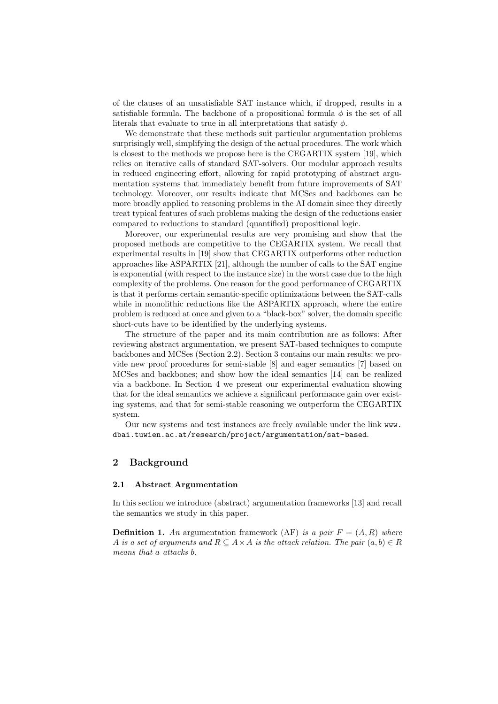of the clauses of an unsatisfiable SAT instance which, if dropped, results in a satisfiable formula. The backbone of a propositional formula  $\phi$  is the set of all literals that evaluate to true in all interpretations that satisfy  $\phi$ .

We demonstrate that these methods suit particular argumentation problems surprisingly well, simplifying the design of the actual procedures. The work which is closest to the methods we propose here is the CEGARTIX system [19], which relies on iterative calls of standard SAT-solvers. Our modular approach results in reduced engineering effort, allowing for rapid prototyping of abstract argumentation systems that immediately benefit from future improvements of SAT technology. Moreover, our results indicate that MCSes and backbones can be more broadly applied to reasoning problems in the AI domain since they directly treat typical features of such problems making the design of the reductions easier compared to reductions to standard (quantified) propositional logic.

Moreover, our experimental results are very promising and show that the proposed methods are competitive to the CEGARTIX system. We recall that experimental results in [19] show that CEGARTIX outperforms other reduction approaches like ASPARTIX [21], although the number of calls to the SAT engine is exponential (with respect to the instance size) in the worst case due to the high complexity of the problems. One reason for the good performance of CEGARTIX is that it performs certain semantic-specific optimizations between the SAT-calls while in monolithic reductions like the ASPARTIX approach, where the entire problem is reduced at once and given to a "black-box" solver, the domain specific short-cuts have to be identified by the underlying systems.

The structure of the paper and its main contribution are as follows: After reviewing abstract argumentation, we present SAT-based techniques to compute backbones and MCSes (Section 2.2). Section 3 contains our main results: we provide new proof procedures for semi-stable [8] and eager semantics [7] based on MCSes and backbones; and show how the ideal semantics [14] can be realized via a backbone. In Section 4 we present our experimental evaluation showing that for the ideal semantics we achieve a significant performance gain over existing systems, and that for semi-stable reasoning we outperform the CEGARTIX system.

Our new systems and test instances are freely available under the link www. dbai.tuwien.ac.at/research/project/argumentation/sat-based.

#### 2 Background

#### 2.1 Abstract Argumentation

In this section we introduce (abstract) argumentation frameworks [13] and recall the semantics we study in this paper.

**Definition 1.** An argumentation framework (AF) is a pair  $F = (A, R)$  where A is a set of arguments and  $R \subseteq A \times A$  is the attack relation. The pair  $(a, b) \in R$ means that a attacks b.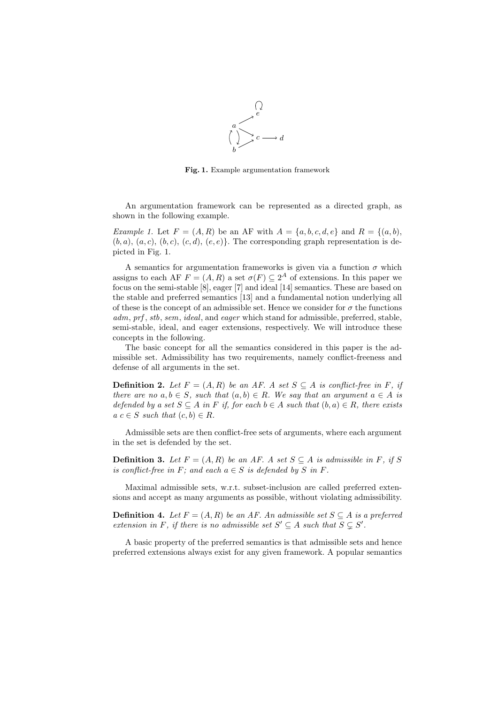

Fig. 1. Example argumentation framework

An argumentation framework can be represented as a directed graph, as shown in the following example.

Example 1. Let  $F = (A, R)$  be an AF with  $A = \{a, b, c, d, e\}$  and  $R = \{(a, b),$  $(b, a), (a, c), (b, c), (c, d), (e, e)$ . The corresponding graph representation is depicted in Fig. 1.

A semantics for argumentation frameworks is given via a function  $\sigma$  which assigns to each AF  $F = (A, R)$  a set  $\sigma(F) \subseteq 2^A$  of extensions. In this paper we focus on the semi-stable [8], eager [7] and ideal [14] semantics. These are based on the stable and preferred semantics [13] and a fundamental notion underlying all of these is the concept of an admissible set. Hence we consider for  $\sigma$  the functions adm, prf, stb, sem, ideal, and eager which stand for admissible, preferred, stable, semi-stable, ideal, and eager extensions, respectively. We will introduce these concepts in the following.

The basic concept for all the semantics considered in this paper is the admissible set. Admissibility has two requirements, namely conflict-freeness and defense of all arguments in the set.

**Definition 2.** Let  $F = (A, R)$  be an AF. A set  $S \subseteq A$  is conflict-free in F, if there are no  $a, b \in S$ , such that  $(a, b) \in R$ . We say that an argument  $a \in A$  is defended by a set  $S \subseteq A$  in F if, for each  $b \in A$  such that  $(b, a) \in R$ , there exists  $a \ c \in S \ such \ that \ (c, b) \in R.$ 

Admissible sets are then conflict-free sets of arguments, where each argument in the set is defended by the set.

**Definition 3.** Let  $F = (A, R)$  be an AF. A set  $S \subseteq A$  is admissible in F, if S is conflict-free in F; and each  $a \in S$  is defended by S in F.

Maximal admissible sets, w.r.t. subset-inclusion are called preferred extensions and accept as many arguments as possible, without violating admissibility.

**Definition 4.** Let  $F = (A, R)$  be an AF. An admissible set  $S \subseteq A$  is a preferred extension in F, if there is no admissible set  $S' \subseteq A$  such that  $S \subseteq S'$ .

A basic property of the preferred semantics is that admissible sets and hence preferred extensions always exist for any given framework. A popular semantics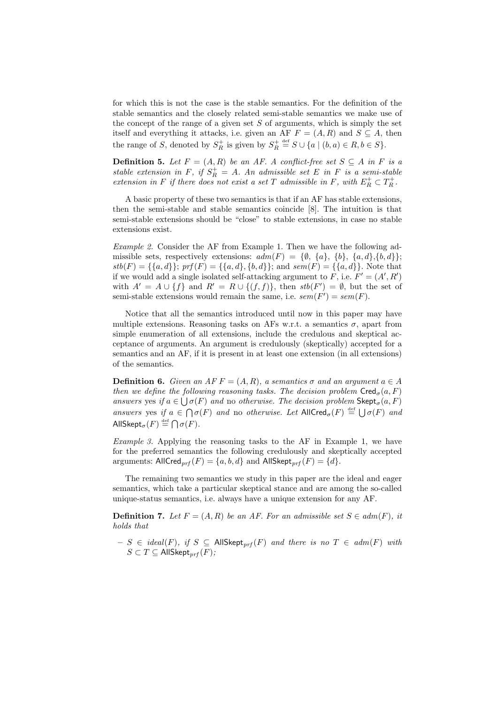for which this is not the case is the stable semantics. For the definition of the stable semantics and the closely related semi-stable semantics we make use of the concept of the range of a given set  $S$  of arguments, which is simply the set itself and everything it attacks, i.e. given an AF  $F = (A, R)$  and  $S \subseteq A$ , then the range of S, denoted by  $S_R^+$  is given by  $S_R^+ \stackrel{\text{def}}{=} S \cup \{a \mid (b, a) \in R, b \in S\}.$ 

**Definition 5.** Let  $F = (A, R)$  be an AF. A conflict-free set  $S \subseteq A$  in F is a stable extension in F, if  $S_R^+ = A$ . An admissible set E in F is a semi-stable extension in F if there does not exist a set T admissible in F, with  $E_R^+ \subset T_R^+$ .

A basic property of these two semantics is that if an AF has stable extensions, then the semi-stable and stable semantics coincide [8]. The intuition is that semi-stable extensions should be "close" to stable extensions, in case no stable extensions exist.

Example 2. Consider the AF from Example 1. Then we have the following admissible sets, respectively extensions:  $adm(F) = \{\emptyset, \{a\}, \{b\}, \{a, d\}, \{b, d\}\};$  $stb(F) = \{\{a,d\}\};\ prf(F) = \{\{a,d\},\{b,d\}\};\$ and  $sem(F) = \{\{a,d\}\}.$  Note that if we would add a single isolated self-attacking argument to F, i.e.  $F' = (A', R')$ with  $A' = A \cup \{f\}$  and  $R' = R \cup \{(f, f)\}\$ , then  $stb(F') = \emptyset$ , but the set of semi-stable extensions would remain the same, i.e.  $sem(F') = sem(F)$ .

Notice that all the semantics introduced until now in this paper may have multiple extensions. Reasoning tasks on AFs w.r.t. a semantics  $\sigma$ , apart from simple enumeration of all extensions, include the credulous and skeptical acceptance of arguments. An argument is credulously (skeptically) accepted for a semantics and an AF, if it is present in at least one extension (in all extensions) of the semantics.

**Definition 6.** Given an  $AF = (A, R)$ , a semantics  $\sigma$  and an argument  $a \in A$ then we define the following reasoning tasks. The decision problem  $\mathsf{Cred}_{\sigma}(a, F)$ answers yes if  $a \in \bigcup \sigma(F)$  and no otherwise. The decision problem  $\mathsf{Skept}_{\sigma}(a, F)$ answers yes if  $a \in \bigcap \sigma(F)$  and no otherwise. Let  $\text{AllCred}_{\sigma}(F) \stackrel{\text{def}}{=} \bigcup \sigma(F)$  and AllSkept $_{\sigma}(F) \stackrel{\text{def}}{=} \bigcap \sigma(F)$ .

Example 3. Applying the reasoning tasks to the AF in Example 1, we have for the preferred semantics the following credulously and skeptically accepted arguments: AllCred<sub>prf</sub>  $(F) = \{a, b, d\}$  and AllSkept<sub>prf</sub>  $(F) = \{d\}.$ 

The remaining two semantics we study in this paper are the ideal and eager semantics, which take a particular skeptical stance and are among the so-called unique-status semantics, i.e. always have a unique extension for any AF.

**Definition 7.** Let  $F = (A, R)$  be an AF. For an admissible set  $S \in adm(F)$ , it holds that

– S ∈ ideal(F), if S ⊆ AllSkept<sub>prf</sub>(F) and there is no T ∈ adm(F) with  $S \subset T \subseteq$  AllSkept<sub>prf</sub> $(F)$ ;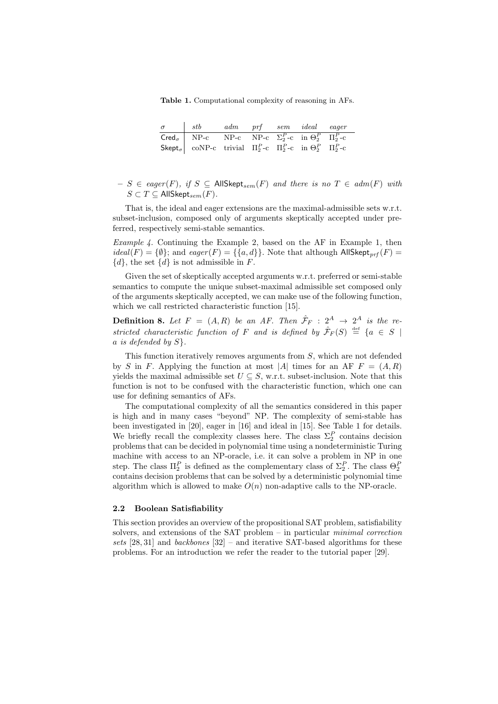Table 1. Computational complexity of reasoning in AFs.

| $\sigma$ stb adm prf sem ideal eager                                                                       |  |  |  |
|------------------------------------------------------------------------------------------------------------|--|--|--|
| Cred <sub><math>\sigma</math></sub> NP-c NP-c NP-c $\Sigma_2^P$ -c in $\Theta_2^P$ $\Pi_2^P$ -c            |  |  |  |
| Skept <sub><math>\sigma</math></sub> coNP-c trivial $\Pi_2^P$ -c $\Pi_2^P$ -c in $\Theta_2^P$ $\Pi_2^P$ -c |  |  |  |

– S ∈ eager(F), if S ⊆ AllSkept<sub>sem</sub>(F) and there is no T ∈ adm(F) with  $S \subset T \subseteq$  AllSkept<sub>sem</sub> $(F)$ .

That is, the ideal and eager extensions are the maximal-admissible sets w.r.t. subset-inclusion, composed only of arguments skeptically accepted under preferred, respectively semi-stable semantics.

Example 4. Continuing the Example 2, based on the AF in Example 1, then  $ideal(F) = {\emptyset};$  and  $eager(F) = {\{a,d\}}.$  Note that although AllSkept<sub>prf</sub>  $(F)$  =  $\{d\}$ , the set  $\{d\}$  is not admissible in F.

Given the set of skeptically accepted arguments w.r.t. preferred or semi-stable semantics to compute the unique subset-maximal admissible set composed only of the arguments skeptically accepted, we can make use of the following function, which we call restricted characteristic function [15].

**Definition 8.** Let  $F = (A, R)$  be an AF. Then  $\hat{\mathcal{F}}_F : 2^A \rightarrow 2^A$  is the restricted characteristic function of F and is defined by  $\hat{\mathcal{F}}_F(S) \stackrel{\text{def}}{=} \{a \in S \mid$ a is defended by  $S$ .

This function iteratively removes arguments from S, which are not defended by S in F. Applying the function at most |A| times for an AF  $F = (A, R)$ yields the maximal admissible set  $U \subseteq S$ , w.r.t. subset-inclusion. Note that this function is not to be confused with the characteristic function, which one can use for defining semantics of AFs.

The computational complexity of all the semantics considered in this paper is high and in many cases "beyond" NP. The complexity of semi-stable has been investigated in [20], eager in [16] and ideal in [15]. See Table 1 for details. We briefly recall the complexity classes here. The class  $\Sigma_2^P$  contains decision problems that can be decided in polynomial time using a nondeterministic Turing machine with access to an NP-oracle, i.e. it can solve a problem in NP in one step. The class  $\Pi_2^P$  is defined as the complementary class of  $\Sigma_2^P$ . The class  $\Theta_2^P$ contains decision problems that can be solved by a deterministic polynomial time algorithm which is allowed to make  $O(n)$  non-adaptive calls to the NP-oracle.

#### 2.2 Boolean Satisfiability

This section provides an overview of the propositional SAT problem, satisfiability solvers, and extensions of the SAT problem – in particular *minimal correction* sets [28, 31] and backbones [32] – and iterative SAT-based algorithms for these problems. For an introduction we refer the reader to the tutorial paper [29].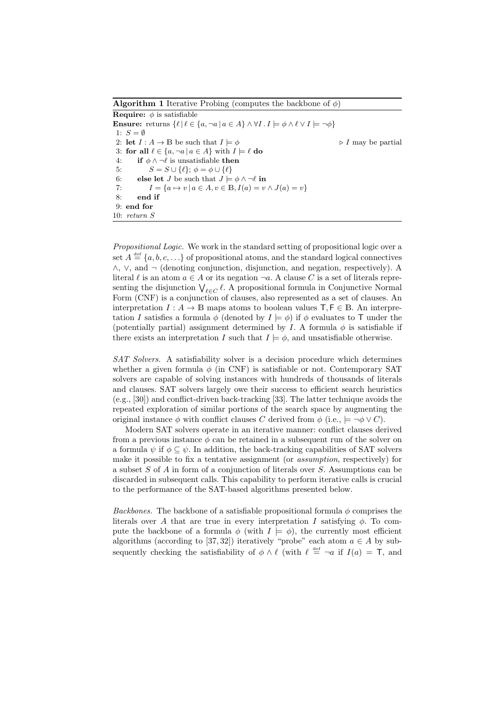**Algorithm 1** Iterative Probing (computes the backbone of  $\phi$ ) **Require:**  $\phi$  is satisfiable Ensure: returns  $\{\ell \mid \ell \in \{a, \neg a \mid a \in A\} \wedge \forall I \cdot I \models \phi \wedge \ell \vee I \models \neg \phi\}$ 1:  $S = \emptyset$ 2: let  $I : A \to \mathbb{B}$  be such that  $I \models \phi$   $\qquad \qquad \qquad \triangleright I$  may be partial 3: for all  $\ell \in \{a, \neg a \mid a \in A\}$  with  $I \models \ell$  do 4: if  $\phi \wedge \neg \ell$  is unsatisfiable then 5:  $S = S \cup \{ \ell \}; \phi = \phi \cup \{ \ell \}$ 6: else let *J* be such that  $J \models \phi \land \neg \ell$  in 7:  $I = \{a \mapsto v \mid a \in A, v \in \mathbb{B}, I(a) = v \wedge J(a) = v\}$ 8: end if 9: end for 10: return S

Propositional Logic. We work in the standard setting of propositional logic over a set  $A \stackrel{\text{def}}{=} \{a, b, c, \ldots\}$  of propositional atoms, and the standard logical connectives ∧, ∨, and ¬ (denoting conjunction, disjunction, and negation, respectively). A literal  $\ell$  is an atom  $a \in A$  or its negation  $\neg a$ . A clause C is a set of literals representing the disjunction  $\bigvee_{\ell \in C} \ell$ . A propositional formula in Conjunctive Normal Form (CNF) is a conjunction of clauses, also represented as a set of clauses. An interpretation  $I: A \to \mathbb{B}$  maps atoms to boolean values  $\mathsf{T}, \mathsf{F} \in \mathbb{B}$ . An interpretation I satisfies a formula  $\phi$  (denoted by  $I \models \phi$ ) if  $\phi$  evaluates to T under the (potentially partial) assignment determined by I. A formula  $\phi$  is satisfiable if there exists an interpretation I such that  $I \models \phi$ , and unsatisfiable otherwise.

SAT Solvers. A satisfiability solver is a decision procedure which determines whether a given formula  $\phi$  (in CNF) is satisfiable or not. Contemporary SAT solvers are capable of solving instances with hundreds of thousands of literals and clauses. SAT solvers largely owe their success to efficient search heuristics (e.g., [30]) and conflict-driven back-tracking [33]. The latter technique avoids the repeated exploration of similar portions of the search space by augmenting the original instance  $\phi$  with conflict clauses C derived from  $\phi$  (i.e.,  $\models \neg \phi \vee C$ ).

Modern SAT solvers operate in an iterative manner: conflict clauses derived from a previous instance  $\phi$  can be retained in a subsequent run of the solver on a formula  $\psi$  if  $\phi \subset \psi$ . In addition, the back-tracking capabilities of SAT solvers make it possible to fix a tentative assignment (or assumption, respectively) for a subset S of A in form of a conjunction of literals over S. Assumptions can be discarded in subsequent calls. This capability to perform iterative calls is crucial to the performance of the SAT-based algorithms presented below.

Backbones. The backbone of a satisfiable propositional formula  $\phi$  comprises the literals over A that are true in every interpretation I satisfying  $\phi$ . To compute the backbone of a formula  $\phi$  (with  $I \models \phi$ ), the currently most efficient algorithms (according to [37, 32]) iteratively "probe" each atom  $a \in A$  by subsequently checking the satisfiability of  $\phi \wedge \ell$  (with  $\ell \stackrel{\text{def}}{=} \neg a$  if  $I(a) = \top$ , and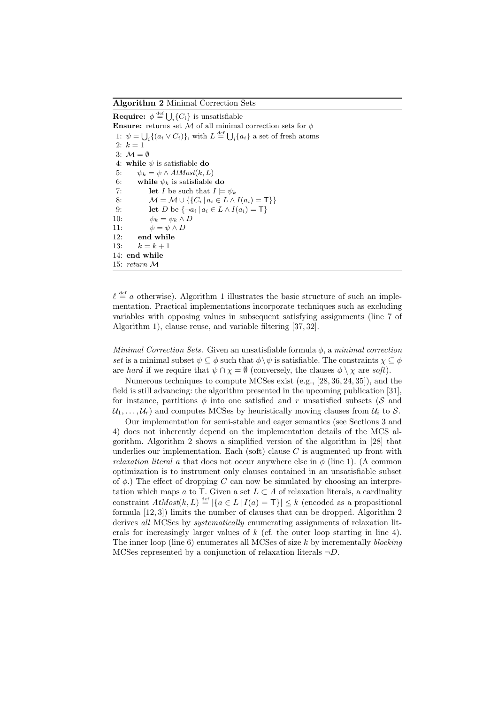Algorithm 2 Minimal Correction Sets

**Require:**  $\phi \stackrel{\text{def}}{=} \bigcup_i \{C_i\}$  is unsatisfiable Ensure: returns set M of all minimal correction sets for  $\phi$ 1:  $\psi = \bigcup_i \{(a_i \vee C_i)\}\$ , with  $L \stackrel{\text{def}}{=} \bigcup_i \{a_i\}$  a set of fresh atoms 2:  $k = 1$ 3:  $\mathcal{M} = \emptyset$ 4: while  $\psi$  is satisfiable do 5:  $\psi_k = \psi \wedge AtMost(k, L)$ 6: while  $\psi_k$  is satisfiable do 7: **let** I be such that  $I \models \psi_k$ <br>8:  $M = M \cup \{ \{ C_i \mid a_i \in L \} \wedge$  $M = M \cup \{\{C_i | a_i \in L \land I(a_i) = \mathsf{T}\}\}\$ 9: let D be  $\{\neg a_i \mid a_i \in L \wedge I(a_i) = \mathsf{T}\}\$ 10:  $\psi_k = \psi_k \wedge D$ 11:  $\psi = \psi \wedge D$ 12: end while 13:  $k = k + 1$ 14: end while 15: return M

 $\ell \stackrel{\text{def}}{=} a$  otherwise). Algorithm 1 illustrates the basic structure of such an implementation. Practical implementations incorporate techniques such as excluding variables with opposing values in subsequent satisfying assignments (line 7 of Algorithm 1), clause reuse, and variable filtering [37, 32].

Minimal Correction Sets. Given an unsatisfiable formula  $\phi$ , a minimal correction set is a minimal subset  $\psi \subseteq \phi$  such that  $\phi \setminus \psi$  is satisfiable. The constraints  $\chi \subseteq \phi$ are hard if we require that  $\psi \cap \chi = \emptyset$  (conversely, the clauses  $\phi \setminus \chi$  are soft).

Numerous techniques to compute MCSes exist (e.g., [28, 36, 24, 35]), and the field is still advancing: the algorithm presented in the upcoming publication [31], for instance, partitions  $\phi$  into one satisfied and r unsatisfied subsets (S and  $U_1, \ldots, U_r$  and computes MCSes by heuristically moving clauses from  $U_i$  to S.

Our implementation for semi-stable and eager semantics (see Sections 3 and 4) does not inherently depend on the implementation details of the MCS algorithm. Algorithm 2 shows a simplified version of the algorithm in [28] that underlies our implementation. Each (soft) clause  $C$  is augmented up front with *relaxation literal a* that does not occur anywhere else in  $\phi$  (line 1). (A common optimization is to instrument only clauses contained in an unsatisfiable subset of  $\phi$ .) The effect of dropping C can now be simulated by choosing an interpretation which maps a to T. Given a set  $L \subset A$  of relaxation literals, a cardinality constraint  $AtMost(k, L) \stackrel{\text{def}}{=} |\{a \in L \mid I(a) = \mathsf{T}\}| \leq k$  (encoded as a propositional formula [12, 3]) limits the number of clauses that can be dropped. Algorithm 2 derives all MCSes by *systematically* enumerating assignments of relaxation literals for increasingly larger values of  $k$  (cf. the outer loop starting in line 4). The inner loop (line  $6$ ) enumerates all MCSes of size k by incrementally *blocking* MCSes represented by a conjunction of relaxation literals  $\neg D$ .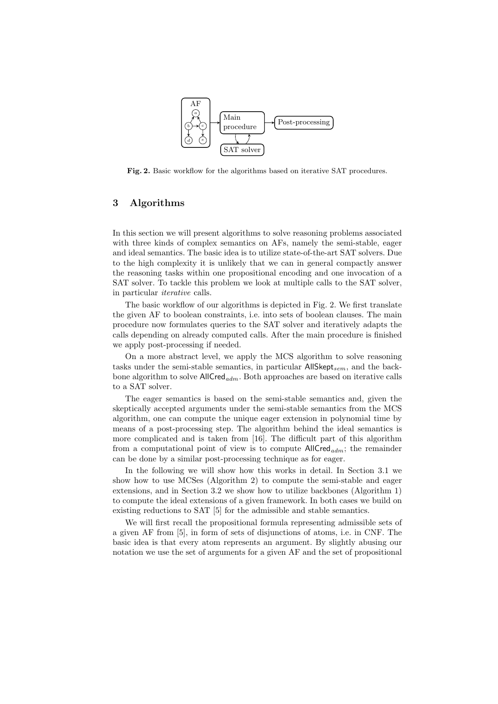

Fig. 2. Basic workflow for the algorithms based on iterative SAT procedures.

# 3 Algorithms

In this section we will present algorithms to solve reasoning problems associated with three kinds of complex semantics on AFs, namely the semi-stable, eager and ideal semantics. The basic idea is to utilize state-of-the-art SAT solvers. Due to the high complexity it is unlikely that we can in general compactly answer the reasoning tasks within one propositional encoding and one invocation of a SAT solver. To tackle this problem we look at multiple calls to the SAT solver, in particular iterative calls.

The basic workflow of our algorithms is depicted in Fig. 2. We first translate the given AF to boolean constraints, i.e. into sets of boolean clauses. The main procedure now formulates queries to the SAT solver and iteratively adapts the calls depending on already computed calls. After the main procedure is finished we apply post-processing if needed.

On a more abstract level, we apply the MCS algorithm to solve reasoning tasks under the semi-stable semantics, in particular  $\mathsf{AllSkept}_{sem}$ , and the backbone algorithm to solve  $AllCred_{adm}$ . Both approaches are based on iterative calls to a SAT solver.

The eager semantics is based on the semi-stable semantics and, given the skeptically accepted arguments under the semi-stable semantics from the MCS algorithm, one can compute the unique eager extension in polynomial time by means of a post-processing step. The algorithm behind the ideal semantics is more complicated and is taken from [16]. The difficult part of this algorithm from a computational point of view is to compute  $\text{AllCred}_{adm}$ ; the remainder can be done by a similar post-processing technique as for eager.

In the following we will show how this works in detail. In Section 3.1 we show how to use MCSes (Algorithm 2) to compute the semi-stable and eager extensions, and in Section 3.2 we show how to utilize backbones (Algorithm 1) to compute the ideal extensions of a given framework. In both cases we build on existing reductions to SAT [5] for the admissible and stable semantics.

We will first recall the propositional formula representing admissible sets of a given AF from [5], in form of sets of disjunctions of atoms, i.e. in CNF. The basic idea is that every atom represents an argument. By slightly abusing our notation we use the set of arguments for a given AF and the set of propositional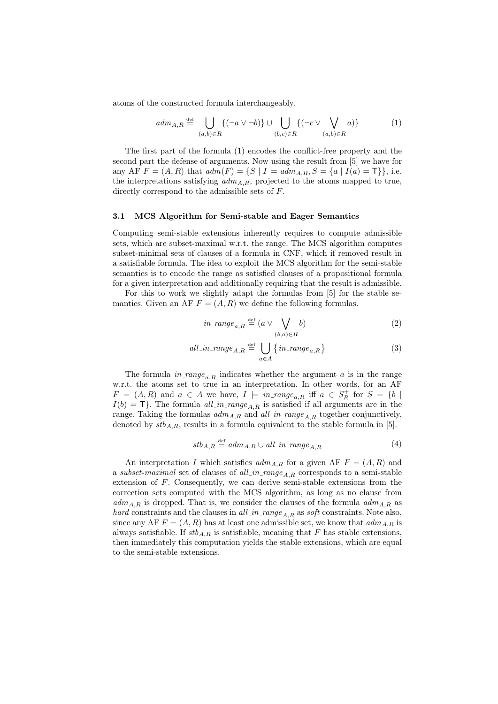atoms of the constructed formula interchangeably.

$$
adm_{A,R} \stackrel{\text{def}}{=} \bigcup_{(a,b)\in R} \{ (\neg a \lor \neg b) \} \cup \bigcup_{(b,c)\in R} \{ (\neg c \lor \bigvee_{(a,b)\in R} a) \} \tag{1}
$$

The first part of the formula (1) encodes the conflict-free property and the second part the defense of arguments. Now using the result from [5] we have for any AF  $F = (A, R)$  that  $adm(F) = \{S \mid I \models adm_{A,R}, S = \{a \mid I(a) = \mathsf{T}\}\}\)$ , i.e. the interpretations satisfying  $adm_{A,R}$ , projected to the atoms mapped to true, directly correspond to the admissible sets of F.

#### 3.1 MCS Algorithm for Semi-stable and Eager Semantics

Computing semi-stable extensions inherently requires to compute admissible sets, which are subset-maximal w.r.t. the range. The MCS algorithm computes subset-minimal sets of clauses of a formula in CNF, which if removed result in a satisfiable formula. The idea to exploit the MCS algorithm for the semi-stable semantics is to encode the range as satisfied clauses of a propositional formula for a given interpretation and additionally requiring that the result is admissible.

For this to work we slightly adapt the formulas from [5] for the stable semantics. Given an AF  $F = (A, R)$  we define the following formulas.

$$
in\_range_{a,R} \stackrel{\text{def}}{=} (a \vee \bigvee_{(b,a)\in R} b)
$$
 (2)

$$
all\_in\_range_{A,R} \stackrel{\text{def}}{=} \bigcup_{a \in A} \{ in\_range_{a,R} \}
$$
 (3)

The formula  $in\_range_{a,R}$  indicates whether the argument a is in the range w.r.t. the atoms set to true in an interpretation. In other words, for an AF  $F = (A, R)$  and  $a \in A$  we have,  $I \models in\_range_{a,R}$  iff  $a \in S_R^+$  for  $S = \{b \mid R\}$  $I(b) = T$ . The formula all in range<sub>A,R</sub> is satisfied if all arguments are in the range. Taking the formulas  $adm_{A,R}$  and  $all\_in\_range_{A,R}$  together conjunctively, denoted by  $stb_{A,R}$ , results in a formula equivalent to the stable formula in [5].

$$
stb_{A,R} \stackrel{\text{def}}{=} adm_{A,R} \cup all\_in\_range_{A,R} \tag{4}
$$

An interpretation I which satisfies  $adm_{A,R}$  for a given AF  $F = (A, R)$  and a subset-maximal set of clauses of all in range<sub>AR</sub> corresponds to a semi-stable extension of F. Consequently, we can derive semi-stable extensions from the correction sets computed with the MCS algorithm, as long as no clause from  $adm_{A,R}$  is dropped. That is, we consider the clauses of the formula  $adm_{A,R}$  as hard constraints and the clauses in all in range  $_{A,R}$  as soft constraints. Note also, since any AF  $F = (A, R)$  has at least one admissible set, we know that  $adm_{A,R}$  is always satisfiable. If  $stb_{A,R}$  is satisfiable, meaning that F has stable extensions, then immediately this computation yields the stable extensions, which are equal to the semi-stable extensions.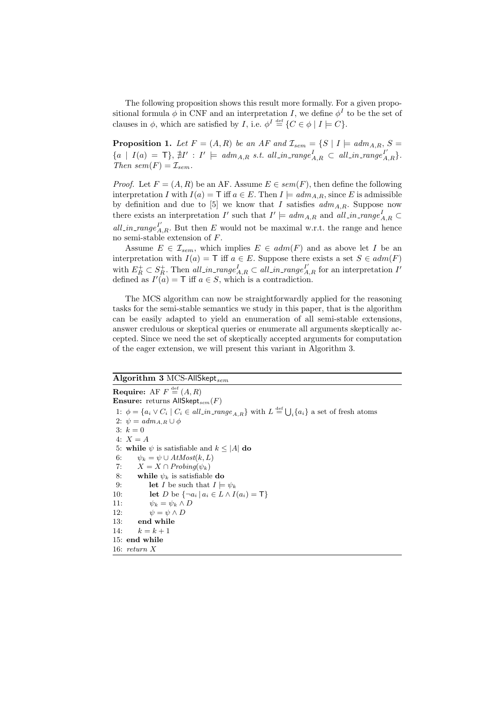The following proposition shows this result more formally. For a given propositional formula  $\phi$  in CNF and an interpretation I, we define  $\phi^I$  to be the set of clauses in  $\phi$ , which are satisfied by *I*, i.e.  $\phi^I \stackrel{\text{def}}{=} \{C \in \phi \mid I \models C\}.$ 

**Proposition 1.** Let  $F = (A, R)$  be an AF and  $\mathcal{I}_{sem} = \{S \mid I \models adm_{A,R}, S =$  $\{a \mid I(a) = \mathsf{T}\},\, \nexists I' : I' \models \textit{adm}_{A,R} \textit{ s.t. all\_in\_range}_{A,R}^{I} \subset \textit{all\_in\_range}_{A,R}^{I'}\}.$ Then  $sem(F) = \mathcal{I}_{sem}$ .

*Proof.* Let  $F = (A, R)$  be an AF. Assume  $E \in sem(F)$ , then define the following interpretation I with  $I(a) = \mathsf{T}$  iff  $a \in E$ . Then  $I \models adm_{A,B}$ , since E is admissible by definition and due to [5] we know that I satisfies  $adm_{A,R}$ . Suppose now there exists an interpretation  $I'$  such that  $I' \models adm_{A,R}$  and  $all\_in\_range_{A,R}^I \subset$ all in range  $I'_{A,R}$ . But then E would not be maximal w.r.t. the range and hence no semi-stable extension of F.

Assume  $E \in \mathcal{I}_{sem}$ , which implies  $E \in adm(F)$  and as above let I be an interpretation with  $I(a) = \mathsf{T}$  iff  $a \in E$ . Suppose there exists a set  $S \in adm(F)$ with  $E_R^+ \subset S_R^+$ . Then all in range  $_{A,R}^I \subset all\_in\_range_{A,R}^{I'}$  for an interpretation  $I'$ defined as  $I'(a) = \mathsf{T}$  iff  $a \in S$ , which is a contradiction.

The MCS algorithm can now be straightforwardly applied for the reasoning tasks for the semi-stable semantics we study in this paper, that is the algorithm can be easily adapted to yield an enumeration of all semi-stable extensions, answer credulous or skeptical queries or enumerate all arguments skeptically accepted. Since we need the set of skeptically accepted arguments for computation of the eager extension, we will present this variant in Algorithm 3.

### $\overline{\text{Algorithm 3 MCS-AllSkept}_{sem}}$

**Require:** AF  $F \stackrel{\text{def}}{=} (A, R)$ **Ensure:** returns AllSkept<sub>sem</sub> $(F)$ 1:  $\phi = \{a_i \vee C_i \mid C_i \in all\_image_{A,R}\}$  with  $L \stackrel{\text{def}}{=} \bigcup_i \{a_i\}$  a set of fresh atoms 2:  $\psi = adm_{A,R} \cup \phi$ 3:  $k = 0$ 4:  $X = A$ 5: while  $\psi$  is satisfiable and  $k \leq |A|$  do 6:  $\psi_k = \psi \cup AtMost(k, L)$ 7:  $X = X \cap Probing(\psi_k)$ 8: while  $\psi_k$  is satisfiable do 9: **let** I be such that  $I \models \psi_k$ 10: **let** D be  $\{\neg a_i \mid a_i \in L \land I(a_i) = \mathsf{T}\}\$ 11:  $\psi_k = \psi_k \wedge D$ 12:  $\psi = \psi \wedge D$ 13: end while 14:  $k = k + 1$ 15: end while 16: return X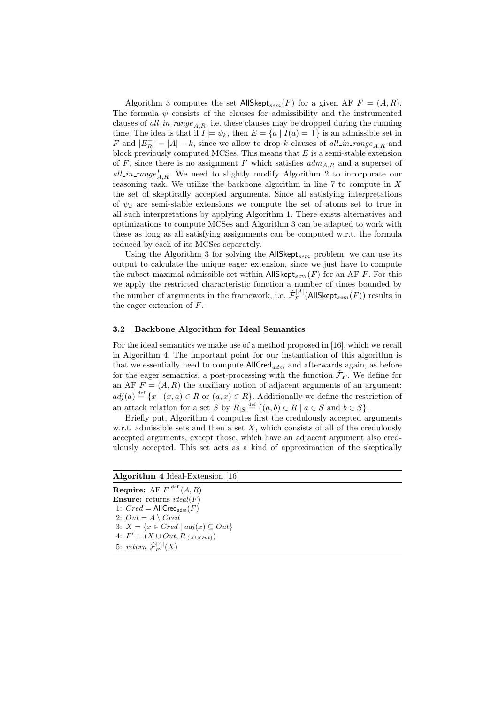Algorithm 3 computes the set  $\mathsf{AllSkept}_{sem}(F)$  for a given AF  $F = (A, R)$ . The formula  $\psi$  consists of the clauses for admissibility and the instrumented clauses of all in range<sub>A</sub>, i.e. these clauses may be dropped during the running time. The idea is that if  $I \models \psi_k$ , then  $E = \{a \mid I(a) = \mathsf{T}\}\$ is an admissible set in F and  $|E_R^+| = |A| - k$ , since we allow to drop k clauses of all in range  $_{A,R}$  and block previously computed MCSes. This means that  $E$  is a semi-stable extension of F, since there is no assignment  $I'$  which satisfies  $adm_{A,R}$  and a superset of all in range<sup>I</sup><sub>A,R</sub>. We need to slightly modify Algorithm 2 to incorporate our reasoning task. We utilize the backbone algorithm in line  $7$  to compute in  $X$ the set of skeptically accepted arguments. Since all satisfying interpretations of  $\psi_k$  are semi-stable extensions we compute the set of atoms set to true in all such interpretations by applying Algorithm 1. There exists alternatives and optimizations to compute MCSes and Algorithm 3 can be adapted to work with these as long as all satisfying assignments can be computed w.r.t. the formula reduced by each of its MCSes separately.

Using the Algorithm 3 for solving the  $AllSkept_{sem}$  problem, we can use its output to calculate the unique eager extension, since we just have to compute the subset-maximal admissible set within AllSkept<sub>sem</sub>  $(F)$  for an AF F. For this we apply the restricted characteristic function a number of times bounded by the number of arguments in the framework, i.e.  $\hat{\mathcal{F}}_F^{|A|}$  $\mathcal{F}_F^{|\mathcal{A}|}(\mathsf{AllSkept}_{sem}(F))$  results in the eager extension of F.

#### 3.2 Backbone Algorithm for Ideal Semantics

For the ideal semantics we make use of a method proposed in [16], which we recall in Algorithm 4. The important point for our instantiation of this algorithm is that we essentially need to compute  $AllCred_{adm}$  and afterwards again, as before for the eager semantics, a post-processing with the function  $\hat{\mathcal{F}}_F$ . We define for an AF  $F = (A, R)$  the auxiliary notion of adjacent arguments of an argument:  $adj(a) \stackrel{\text{def}}{=} \{x \mid (x, a) \in R \text{ or } (a, x) \in R\}.$  Additionally we define the restriction of an attack relation for a set S by  $R_{|S} \stackrel{\text{def}}{=} \{(a, b) \in R \mid a \in S \text{ and } b \in S\}.$ 

Briefly put, Algorithm 4 computes first the credulously accepted arguments w.r.t. admissible sets and then a set  $X$ , which consists of all of the credulously accepted arguments, except those, which have an adjacent argument also credulously accepted. This set acts as a kind of approximation of the skeptically

| <b>Algorithm 4 Ideal-Extension [16]</b>                |
|--------------------------------------------------------|
| <b>Require:</b> AF $F \stackrel{\text{def}}{=} (A, R)$ |
| <b>Ensure:</b> returns <i>ideal</i> ( $F$ )            |
| 1: $Cred = AllCred_{adm}(F)$                           |
| 2: $Out = A \setminus Cred$                            |
| 3: $X = \{x \in Cred \mid adj(x) \subseteq Out\}$      |
| 4: $F' = (X \cup Out, R_{ (X \cup Out)})$              |
| 5: return $\hat{\mathcal{F}}_{F'}^{ A }(X)$            |
|                                                        |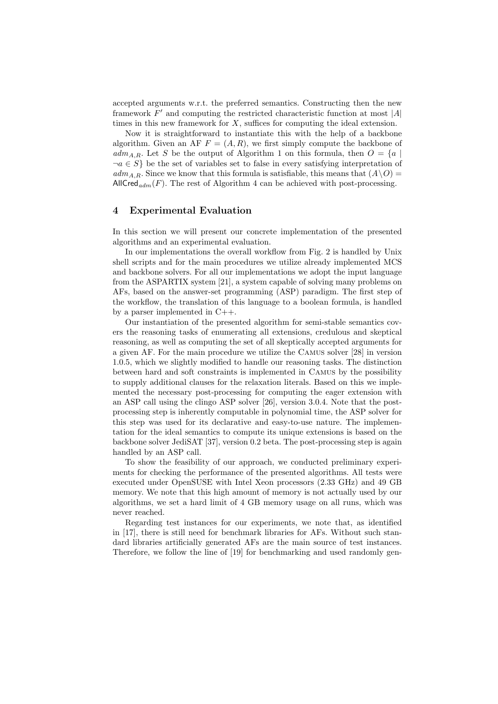accepted arguments w.r.t. the preferred semantics. Constructing then the new framework  $F'$  and computing the restricted characteristic function at most  $|A|$ times in this new framework for  $X$ , suffices for computing the ideal extension.

Now it is straightforward to instantiate this with the help of a backbone algorithm. Given an AF  $F = (A, R)$ , we first simply compute the backbone of  $adm_{A,R}$ . Let S be the output of Algorithm 1 on this formula, then  $O = \{a \mid$  $\neg a \in S$  be the set of variables set to false in every satisfying interpretation of  $adm_{A,R}$ . Since we know that this formula is satisfiable, this means that  $(A\setminus O)$  = AllCred<sub>adm</sub>(F). The rest of Algorithm 4 can be achieved with post-processing.

#### 4 Experimental Evaluation

In this section we will present our concrete implementation of the presented algorithms and an experimental evaluation.

In our implementations the overall workflow from Fig. 2 is handled by Unix shell scripts and for the main procedures we utilize already implemented MCS and backbone solvers. For all our implementations we adopt the input language from the ASPARTIX system [21], a system capable of solving many problems on AFs, based on the answer-set programming (ASP) paradigm. The first step of the workflow, the translation of this language to a boolean formula, is handled by a parser implemented in C++.

Our instantiation of the presented algorithm for semi-stable semantics covers the reasoning tasks of enumerating all extensions, credulous and skeptical reasoning, as well as computing the set of all skeptically accepted arguments for a given AF. For the main procedure we utilize the Camus solver [28] in version 1.0.5, which we slightly modified to handle our reasoning tasks. The distinction between hard and soft constraints is implemented in Camus by the possibility to supply additional clauses for the relaxation literals. Based on this we implemented the necessary post-processing for computing the eager extension with an ASP call using the clingo ASP solver [26], version 3.0.4. Note that the postprocessing step is inherently computable in polynomial time, the ASP solver for this step was used for its declarative and easy-to-use nature. The implementation for the ideal semantics to compute its unique extensions is based on the backbone solver JediSAT [37], version 0.2 beta. The post-processing step is again handled by an ASP call.

To show the feasibility of our approach, we conducted preliminary experiments for checking the performance of the presented algorithms. All tests were executed under OpenSUSE with Intel Xeon processors (2.33 GHz) and 49 GB memory. We note that this high amount of memory is not actually used by our algorithms, we set a hard limit of 4 GB memory usage on all runs, which was never reached.

Regarding test instances for our experiments, we note that, as identified in [17], there is still need for benchmark libraries for AFs. Without such standard libraries artificially generated AFs are the main source of test instances. Therefore, we follow the line of [19] for benchmarking and used randomly gen-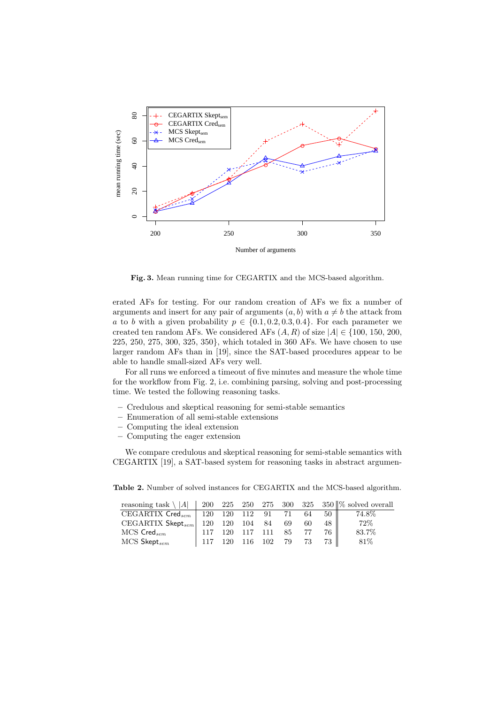

Fig. 3. Mean running time for CEGARTIX and the MCS-based algorithm.

erated AFs for testing. For our random creation of AFs we fix a number of arguments and insert for any pair of arguments  $(a, b)$  with  $a \neq b$  the attack from a to b with a given probability  $p \in \{0.1, 0.2, 0.3, 0.4\}$ . For each parameter we created ten random AFs. We considered AFs  $(A, R)$  of size  $|A| \in \{100, 150, 200,$ 225, 250, 275, 300, 325, 350}, which totaled in 360 AFs. We have chosen to use larger random AFs than in [19], since the SAT-based procedures appear to be able to handle small-sized AFs very well.

For all runs we enforced a timeout of five minutes and measure the whole time for the workflow from Fig. 2, i.e. combining parsing, solving and post-processing time. We tested the following reasoning tasks.

- Credulous and skeptical reasoning for semi-stable semantics
- Enumeration of all semi-stable extensions
- Computing the ideal extension
- Computing the eager extension

We compare credulous and skeptical reasoning for semi-stable semantics with CEGARTIX [19], a SAT-based system for reasoning tasks in abstract argumen-

Table 2. Number of solved instances for CEGARTIX and the MCS-based algorithm.

| reasoning task \ A    200 225 250 275 300 325 350   % solved overall |                              |                |    |    |       |        |
|----------------------------------------------------------------------|------------------------------|----------------|----|----|-------|--------|
| CEGARTIX Cred <sub>sem</sub>   120 120 112 91 71                     |                              |                |    | 64 | 50 II | 74.8%  |
| $CEGARTIX$ Skept <sub>sem</sub>   120 120 104 84                     |                              |                | 69 | 60 | 48 II | $72\%$ |
| $MCS$ Cred $_{sem}$                                                  | <sup>1</sup> 117 120 117 111 |                | 85 |    | 76 II | 83.7%  |
| $MCS$ Skept $_{sem}$                                                 | $\frac{1}{2}$ 117            | 120 116 102 79 |    | 73 |       | 81%    |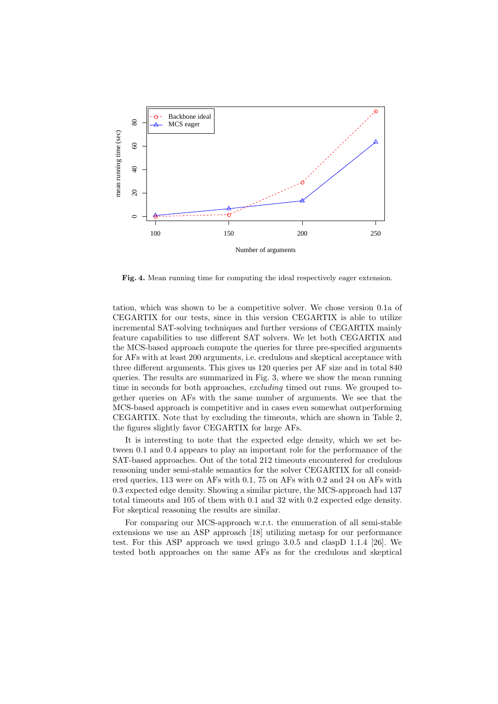

Fig. 4. Mean running time for computing the ideal respectively eager extension.

tation, which was shown to be a competitive solver. We chose version 0.1a of CEGARTIX for our tests, since in this version CEGARTIX is able to utilize incremental SAT-solving techniques and further versions of CEGARTIX mainly feature capabilities to use different SAT solvers. We let both CEGARTIX and the MCS-based approach compute the queries for three pre-specified arguments for AFs with at least 200 arguments, i.e. credulous and skeptical acceptance with three different arguments. This gives us 120 queries per AF size and in total 840 queries. The results are summarized in Fig. 3, where we show the mean running time in seconds for both approaches, excluding timed out runs. We grouped together queries on AFs with the same number of arguments. We see that the MCS-based approach is competitive and in cases even somewhat outperforming CEGARTIX. Note that by excluding the timeouts, which are shown in Table 2, the figures slightly favor CEGARTIX for large AFs.

It is interesting to note that the expected edge density, which we set between 0.1 and 0.4 appears to play an important role for the performance of the SAT-based approaches. Out of the total 212 timeouts encountered for credulous reasoning under semi-stable semantics for the solver CEGARTIX for all considered queries, 113 were on AFs with 0.1, 75 on AFs with 0.2 and 24 on AFs with 0.3 expected edge density. Showing a similar picture, the MCS-approach had 137 total timeouts and 105 of them with 0.1 and 32 with 0.2 expected edge density. For skeptical reasoning the results are similar.

For comparing our MCS-approach w.r.t. the enumeration of all semi-stable extensions we use an ASP approach [18] utilizing metasp for our performance test. For this ASP approach we used gringo 3.0.5 and claspD 1.1.4 [26]. We tested both approaches on the same AFs as for the credulous and skeptical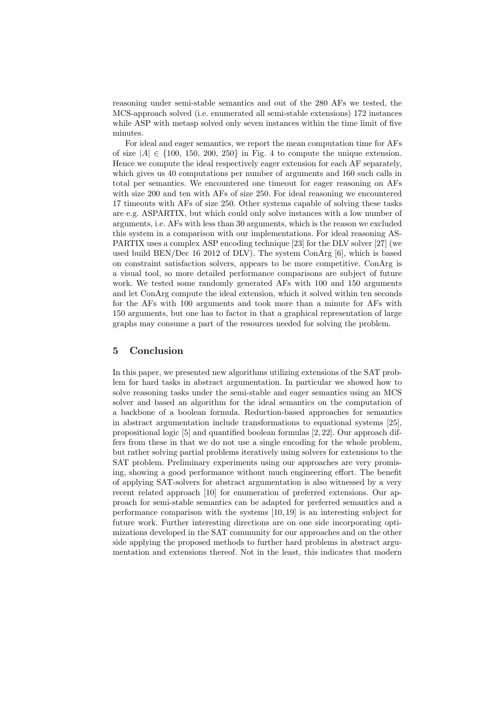reasoning under semi-stable semantics and out of the 280 AFs we tested, the MCS-approach solved (i.e. enumerated all semi-stable extensions) 172 instances while ASP with metasp solved only seven instances within the time limit of five minutes.

For ideal and eager semantics, we report the mean computation time for AFs of size  $|A| \in \{100, 150, 200, 250\}$  in Fig. 4 to compute the unique extension. Hence we compute the ideal respectively eager extension for each AF separately, which gives us 40 computations per number of arguments and 160 such calls in total per semantics. We encountered one timeout for eager reasoning on AFs with size 200 and ten with AFs of size 250. For ideal reasoning we encountered 17 timeouts with AFs of size 250. Other systems capable of solving these tasks are e.g. ASPARTIX, but which could only solve instances with a low number of arguments, i.e. AFs with less than 30 arguments, which is the reason we excluded this system in a comparison with our implementations. For ideal reasoning AS-PARTIX uses a complex ASP encoding technique [23] for the DLV solver [27] (we used build BEN/Dec 16 2012 of DLV). The system ConArg [6], which is based on constraint satisfaction solvers, appears to be more competitive. ConArg is a visual tool, so more detailed performance comparisons are subject of future work. We tested some randomly generated AFs with 100 and 150 arguments and let ConArg compute the ideal extension, which it solved within ten seconds for the AFs with 100 arguments and took more than a minute for AFs with 150 arguments, but one has to factor in that a graphical representation of large graphs may consume a part of the resources needed for solving the problem.

## 5 Conclusion

In this paper, we presented new algorithms utilizing extensions of the SAT problem for hard tasks in abstract argumentation. In particular we showed how to solve reasoning tasks under the semi-stable and eager semantics using an MCS solver and based an algorithm for the ideal semantics on the computation of a backbone of a boolean formula. Reduction-based approaches for semantics in abstract argumentation include transformations to equational systems [25], propositional logic [5] and quantified boolean formulas [2, 22]. Our approach differs from these in that we do not use a single encoding for the whole problem, but rather solving partial problems iteratively using solvers for extensions to the SAT problem. Preliminary experiments using our approaches are very promising, showing a good performance without much engineering effort. The benefit of applying SAT-solvers for abstract argumentation is also witnessed by a very recent related approach [10] for enumeration of preferred extensions. Our approach for semi-stable semantics can be adapted for preferred semantics and a performance comparison with the systems [10, 19] is an interesting subject for future work. Further interesting directions are on one side incorporating optimizations developed in the SAT community for our approaches and on the other side applying the proposed methods to further hard problems in abstract argumentation and extensions thereof. Not in the least, this indicates that modern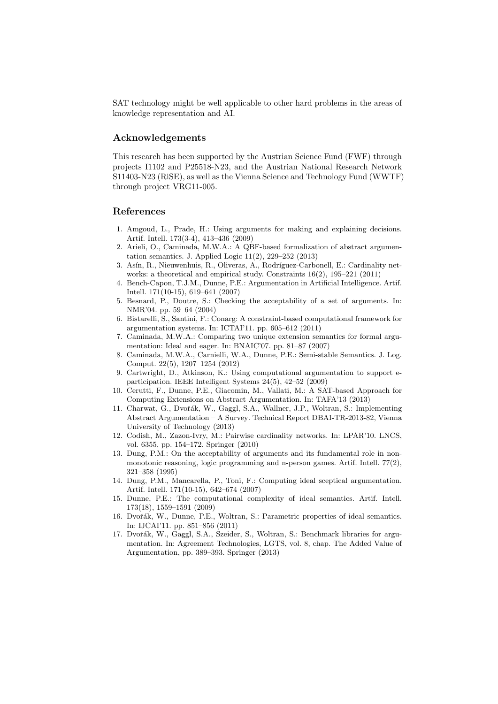SAT technology might be well applicable to other hard problems in the areas of knowledge representation and AI.

## Acknowledgements

This research has been supported by the Austrian Science Fund (FWF) through projects I1102 and P25518-N23, and the Austrian National Research Network S11403-N23 (RiSE), as well as the Vienna Science and Technology Fund (WWTF) through project VRG11-005.

#### References

- 1. Amgoud, L., Prade, H.: Using arguments for making and explaining decisions. Artif. Intell. 173(3-4), 413–436 (2009)
- 2. Arieli, O., Caminada, M.W.A.: A QBF-based formalization of abstract argumentation semantics. J. Applied Logic 11(2), 229–252 (2013)
- 3. Asín, R., Nieuwenhuis, R., Oliveras, A., Rodríguez-Carbonell, E.: Cardinality networks: a theoretical and empirical study. Constraints 16(2), 195–221 (2011)
- 4. Bench-Capon, T.J.M., Dunne, P.E.: Argumentation in Artificial Intelligence. Artif. Intell. 171(10-15), 619–641 (2007)
- 5. Besnard, P., Doutre, S.: Checking the acceptability of a set of arguments. In: NMR'04. pp. 59–64 (2004)
- 6. Bistarelli, S., Santini, F.: Conarg: A constraint-based computational framework for argumentation systems. In: ICTAI'11. pp. 605–612 (2011)
- 7. Caminada, M.W.A.: Comparing two unique extension semantics for formal argumentation: Ideal and eager. In: BNAIC'07. pp. 81–87 (2007)
- 8. Caminada, M.W.A., Carnielli, W.A., Dunne, P.E.: Semi-stable Semantics. J. Log. Comput. 22(5), 1207–1254 (2012)
- 9. Cartwright, D., Atkinson, K.: Using computational argumentation to support eparticipation. IEEE Intelligent Systems 24(5), 42–52 (2009)
- 10. Cerutti, F., Dunne, P.E., Giacomin, M., Vallati, M.: A SAT-based Approach for Computing Extensions on Abstract Argumentation. In: TAFA'13 (2013)
- 11. Charwat, G., Dvořák, W., Gaggl, S.A., Wallner, J.P., Woltran, S.: Implementing Abstract Argumentation – A Survey. Technical Report DBAI-TR-2013-82, Vienna University of Technology (2013)
- 12. Codish, M., Zazon-Ivry, M.: Pairwise cardinality networks. In: LPAR'10. LNCS, vol. 6355, pp. 154–172. Springer (2010)
- 13. Dung, P.M.: On the acceptability of arguments and its fundamental role in nonmonotonic reasoning, logic programming and n-person games. Artif. Intell. 77(2), 321–358 (1995)
- 14. Dung, P.M., Mancarella, P., Toni, F.: Computing ideal sceptical argumentation. Artif. Intell. 171(10-15), 642–674 (2007)
- 15. Dunne, P.E.: The computational complexity of ideal semantics. Artif. Intell. 173(18), 1559–1591 (2009)
- 16. Dvořák, W., Dunne, P.E., Woltran, S.: Parametric properties of ideal semantics. In: IJCAI'11. pp. 851–856 (2011)
- 17. Dvořák, W., Gaggl, S.A., Szeider, S., Woltran, S.: Benchmark libraries for argumentation. In: Agreement Technologies, LGTS, vol. 8, chap. The Added Value of Argumentation, pp. 389–393. Springer (2013)